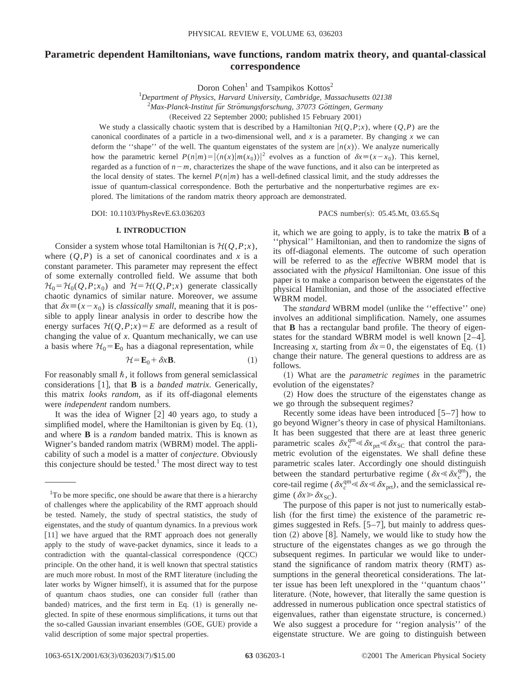# **Parametric dependent Hamiltonians, wave functions, random matrix theory, and quantal-classical correspondence**

Doron Cohen<sup>1</sup> and Tsampikos Kottos<sup>2</sup>

1 *Department of Physics, Harvard University, Cambridge, Massachusetts 02138*

<sup>2</sup> Max-Planck-Institut für Strömungsforschung, 37073 Göttingen, Germany

(Received 22 September 2000; published 15 February 2001)

We study a classically chaotic system that is described by a Hamiltonian  $\mathcal{H}(Q,P;x)$ , where  $(Q,P)$  are the canonical coordinates of a particle in a two-dimensional well, and *x* is a parameter. By changing *x* we can deform the "shape" of the well. The quantum eigenstates of the system are  $|n(x)\rangle$ . We analyze numerically how the parametric kernel  $P(n|m) = |\langle n(x)|m(x_0)\rangle|^2$  evolves as a function of  $\delta x \equiv (x-x_0)$ . This kernel, regarded as a function of  $n-m$ , characterizes the shape of the wave functions, and it also can be interpreted as the local density of states. The kernel  $P(n|m)$  has a well-defined classical limit, and the study addresses the issue of quantum-classical correspondence. Both the perturbative and the nonperturbative regimes are explored. The limitations of the random matrix theory approach are demonstrated.

DOI: 10.1103/PhysRevE.63.036203 PACS number(s): 05.45.Mt, 03.65.Sq

### **I. INTRODUCTION**

Consider a system whose total Hamiltonian is  $\mathcal{H}(Q, P; x)$ , where  $(Q, P)$  is a set of canonical coordinates and *x* is a constant parameter. This parameter may represent the effect of some externally controlled field. We assume that both  $\mathcal{H}_0 = \mathcal{H}_0(Q, P; x_0)$  and  $\mathcal{H} = \mathcal{H}(Q, P; x)$  generate classically chaotic dynamics of similar nature. Moreover, we assume that  $\delta x \equiv (x - x_0)$  is *classically small*, meaning that it is possible to apply linear analysis in order to describe how the energy surfaces  $\mathcal{H}(Q, P; x) = E$  are deformed as a result of changing the value of *x*. Quantum mechanically, we can use a basis where  $H_0 = \mathbf{E}_0$  has a diagonal representation, while

$$
\mathcal{H} = \mathbf{E}_0 + \delta x \mathbf{B}.\tag{1}
$$

For reasonably small  $\hbar$ , it follows from general semiclassical considerations  $\lceil 1 \rceil$ , that **B** is a *banded matrix*. Generically, this matrix *looks random*, as if its off-diagonal elements were *independent* random numbers.

It was the idea of Wigner  $[2]$  40 years ago, to study a simplified model, where the Hamiltonian is given by Eq.  $(1)$ , and where **B** is a *random* banded matrix. This is known as Wigner's banded random matrix (WBRM) model. The applicability of such a model is a matter of *conjecture*. Obviously this conjecture should be tested.<sup>1</sup> The most direct way to test it, which we are going to apply, is to take the matrix **B** of a ''physical'' Hamiltonian, and then to randomize the signs of its off-diagonal elements. The outcome of such operation will be referred to as the *effective* WBRM model that is associated with the *physical* Hamiltonian. One issue of this paper is to make a comparison between the eigenstates of the physical Hamiltonian, and those of the associated effective WBRM model.

The *standard* WBRM model (unlike the "effective" one) involves an additional simplification. Namely, one assumes that **B** has a rectangular band profile. The theory of eigenstates for the standard WBRM model is well known  $[2-4]$ . Increasing *x*, starting from  $\delta x=0$ , the eigenstates of Eq. (1) change their nature. The general questions to address are as follows.

~1! What are the *parametric regimes* in the parametric evolution of the eigenstates?

~2! How does the structure of the eigenstates change as we go through the subsequent regimes?

Recently some ideas have been introduced  $[5-7]$  how to go beyond Wigner's theory in case of physical Hamiltonians. It has been suggested that there are at least three generic parametric scales  $\delta x_c^{\text{qm}} \ll \delta x_{\text{prt}} \ll \delta x_{\text{SC}}$  that control the parametric evolution of the eigenstates. We shall define these parametric scales later. Accordingly one should distinguish between the standard perturbative regime ( $\delta x \leq \delta x_c^{\text{qm}}$ ), the core-tail regime ( $\delta x_c^{\text{qm}} \leq \delta x \leq \delta x_{\text{prt}}$ ), and the semiclassical regime ( $\delta x \ge \delta x_{SC}$ ).

The purpose of this paper is not just to numerically establish (for the first time) the existence of the parametric regimes suggested in Refs.  $[5-7]$ , but mainly to address question  $(2)$  above [8]. Namely, we would like to study how the structure of the eigenstates changes as we go through the subsequent regimes. In particular we would like to understand the significance of random matrix theory (RMT) assumptions in the general theoretical considerations. The latter issue has been left unexplored in the ''quantum chaos'' literature. (Note, however, that literally the same question is addressed in numerous publication once spectral statistics of eigenvalues, rather than eigenstate structure, is concerned.) We also suggest a procedure for ''region analysis'' of the eigenstate structure. We are going to distinguish between

<sup>&</sup>lt;sup>1</sup>To be more specific, one should be aware that there is a hierarchy of challenges where the applicability of the RMT approach should be tested. Namely, the study of spectral statistics, the study of eigenstates, and the study of quantum dynamics. In a previous work  $[11]$  we have argued that the RMT approach does not generally apply to the study of wave-packet dynamics, since it leads to a  $contradiction$  with the quantal-classical correspondence  $(QCC)$ principle. On the other hand, it is well known that spectral statistics are much more robust. In most of the RMT literature (including the later works by Wigner himself), it is assumed that for the purpose of quantum chaos studies, one can consider full (rather than banded) matrices, and the first term in Eq.  $(1)$  is generally neglected. In spite of these enormous simplifications, it turns out that the so-called Gaussian invariant ensembles (GOE, GUE) provide a valid description of some major spectral properties.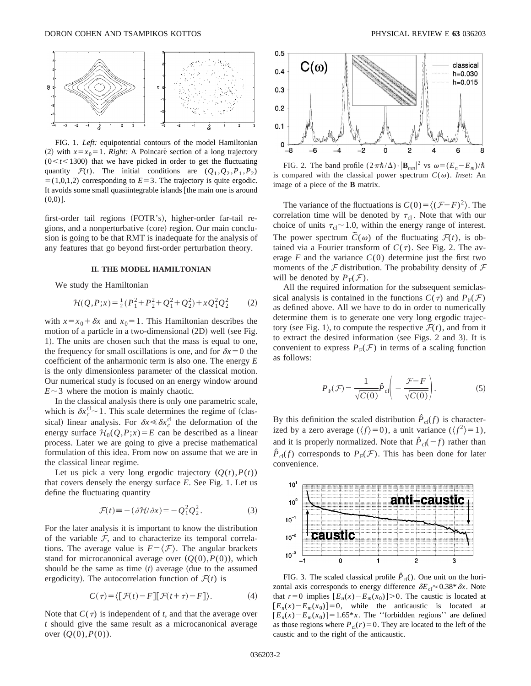

FIG. 1. *Left:* equipotential contours of the model Hamiltonian (2) with  $x=x_0=1$ . *Right:* A Poincaré section of a long trajectory  $(0 < t < 1300)$  that we have picked in order to get the fluctuating quantity  $\mathcal{F}(t)$ . The initial conditions are  $(Q_1, Q_2, P_1, P_2)$  $= (1,0,1,2)$  corresponding to  $E=3$ . The trajectory is quite ergodic. It avoids some small quasiintegrable islands  $[$  the main one is around  $(0,0)$ ].

first-order tail regions (FOTR's), higher-order far-tail regions, and a nonperturbative (core) region. Our main conclusion is going to be that RMT is inadequate for the analysis of any features that go beyond first-order perturbation theory.

### **II. THE MODEL HAMILTONIAN**

We study the Hamiltonian

$$
\mathcal{H}(Q, P; x) = \frac{1}{2} (P_1^2 + P_2^2 + Q_1^2 + Q_2^2) + x Q_1^2 Q_2^2 \tag{2}
$$

with  $x=x_0+\delta x$  and  $x_0=1$ . This Hamiltonian describes the motion of a particle in a two-dimensional  $(2D)$  well (see Fig. 1). The units are chosen such that the mass is equal to one, the frequency for small oscillations is one, and for  $\delta x=0$  the coefficient of the anharmonic term is also one. The energy *E* is the only dimensionless parameter of the classical motion. Our numerical study is focused on an energy window around  $E \sim 3$  where the motion is mainly chaotic.

In the classical analysis there is only one parametric scale, which is  $\delta x_c^{\text{cl}} \sim 1$ . This scale determines the regime of (classical) linear analysis. For  $\delta x \leq \delta x_c^{\text{cl}}$  the deformation of the energy surface  $\mathcal{H}_0(Q, P; x) = E$  can be described as a linear process. Later we are going to give a precise mathematical formulation of this idea. From now on assume that we are in the classical linear regime.

Let us pick a very long ergodic trajectory  $(Q(t), P(t))$ that covers densely the energy surface *E*. See Fig. 1. Let us define the fluctuating quantity

$$
\mathcal{F}(t) \equiv -(\partial \mathcal{H}/\partial x) = -Q_1^2 Q_2^2. \tag{3}
$$

For the later analysis it is important to know the distribution of the variable  $F$ , and to characterize its temporal correlations. The average value is  $F = \langle F \rangle$ . The angular brackets stand for microcanonical average over  $(Q(0), P(0))$ , which should be the same as time  $(t)$  average (due to the assumed ergodicity). The autocorrelation function of  $\mathcal{F}(t)$  is

$$
C(\tau) = \langle [\mathcal{F}(t) - F][\mathcal{F}(t+\tau) - F] \rangle.
$$
 (4)

Note that  $C(\tau)$  is independent of *t*, and that the average over *t* should give the same result as a microcanonical average over  $(Q(0), P(0)).$ 



FIG. 2. The band profile  $(2\pi\hbar/\Delta)\cdot|\mathbf{B}_{nm}|^2$  vs  $\omega = (E_n - E_m)/\hbar$ is compared with the classical power spectrum  $C(\omega)$ . *Inset*: An image of a piece of the **B** matrix.

The variance of the fluctuations is  $C(0) = \langle (F-F)^2 \rangle$ . The correlation time will be denoted by  $\tau_{cl}$ . Note that with our choice of units  $\tau_{cl} \sim 1.0$ , within the energy range of interest. The power spectrum  $\tilde{C}(\omega)$  of the fluctuating  $\mathcal{F}(t)$ , is obtained via a Fourier transform of  $C(\tau)$ . See Fig. 2. The average  $F$  and the variance  $C(0)$  determine just the first two moments of the  $F$  distribution. The probability density of  $F$ will be denoted by  $P_{\rm F}(\mathcal{F})$ .

All the required information for the subsequent semiclassical analysis is contained in the functions  $C(\tau)$  and  $P_F(\mathcal{F})$ as defined above. All we have to do in order to numerically determine them is to generate one very long ergodic trajectory (see Fig. 1), to compute the respective  $\mathcal{F}(t)$ , and from it to extract the desired information (see Figs. 2 and 3). It is convenient to express  $P_F(\mathcal{F})$  in terms of a scaling function as follows:

$$
P_{\rm F}(\mathcal{F}) = \frac{1}{\sqrt{C(0)}} \hat{P}_{\rm cl} \left( -\frac{\mathcal{F} - F}{\sqrt{C(0)}} \right). \tag{5}
$$

By this definition the scaled distribution  $\hat{P}_{cl}(f)$  is characterized by a zero average  $(\langle f \rangle = 0)$ , a unit variance  $(\langle f^2 \rangle = 1)$ , and it is properly normalized. Note that  $\hat{P}_{cl}(-f)$  rather than  $\hat{P}_{cl}(f)$  corresponds to  $P_F(\mathcal{F})$ . This has been done for later convenience.



FIG. 3. The scaled classical profile  $\hat{P}_{cl}$ (). One unit on the horizontal axis corresponds to energy difference  $\delta E_{cl} \approx 0.38* \delta x$ . Note that  $r=0$  implies  $[E_n(x)-E_m(x_0)]>0$ . The caustic is located at  $[E_n(x) - E_m(x_0)] = 0$ , while the anticaustic is located at  $[E_n(x) - E_m(x_0)] = 1.65 * x$ . The "forbidden regions" are defined as those regions where  $P_{cl}(r) = 0$ . They are located to the left of the caustic and to the right of the anticaustic.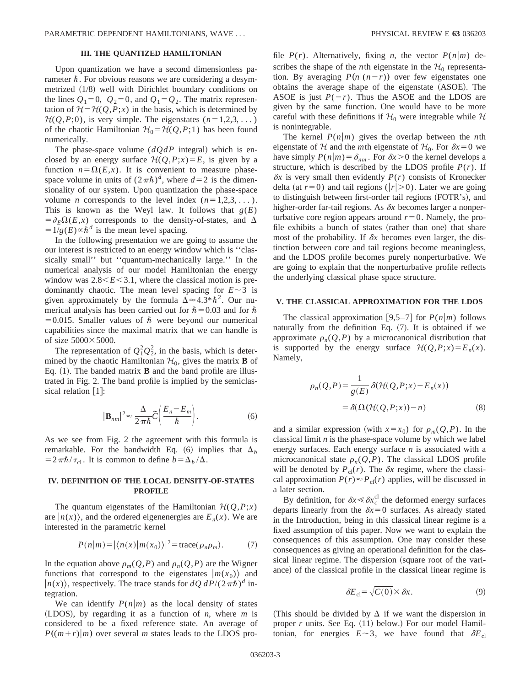# **III. THE QUANTIZED HAMILTONIAN**

Upon quantization we have a second dimensionless parameter  $\hbar$ . For obvious reasons we are considering a desymmetrized  $(1/8)$  well with Dirichlet boundary conditions on the lines  $Q_1=0$ ,  $Q_2=0$ , and  $Q_1=Q_2$ . The matrix representation of  $H = H(Q, P; x)$  in the basis, which is determined by  $H(Q, P; 0)$ , is very simple. The eigenstates  $(n=1,2,3,...)$ of the chaotic Hamiltonian  $\mathcal{H}_0 = \mathcal{H}(Q, P; 1)$  has been found numerically.

The phase-space volume  $(dQdP$  integral) which is enclosed by an energy surface  $H(Q, P; x) = E$ , is given by a function  $n = \Omega(E, x)$ . It is convenient to measure phasespace volume in units of  $(2\pi\hbar)^d$ , where  $d=2$  is the dimensionality of our system. Upon quantization the phase-space volume *n* corresponds to the level index  $(n=1,2,3,...)$ . This is known as the Weyl law. It follows that  $g(E)$  $= \partial_E \Omega(E, x)$  corresponds to the density-of-states, and  $\Delta$  $=1/g(E) \propto \hbar^d$  is the mean level spacing.

In the following presentation we are going to assume the our interest is restricted to an energy window which is ''classically small'' but ''quantum-mechanically large.'' In the numerical analysis of our model Hamiltonian the energy window was  $2.8 \le E \le 3.1$ , where the classical motion is predominantly chaotic. The mean level spacing for  $E \sim 3$  is given approximately by the formula  $\Delta \approx 4.3 * \hbar^2$ . Our numerical analysis has been carried out for  $\hbar = 0.03$  and for  $\hbar$  $=0.015$ . Smaller values of  $\hbar$  were beyond our numerical capabilities since the maximal matrix that we can handle is of size  $5000 \times 5000$ .

The representation of  $Q_1^2 Q_2^2$ , in the basis, which is determined by the chaotic Hamiltonian  $\mathcal{H}_0$ , gives the matrix **B** of Eq.  $(1)$ . The banded matrix **B** and the band profile are illustrated in Fig. 2. The band profile is implied by the semiclassical relation  $\lceil 1 \rceil$ :

$$
|\mathbf{B}_{nm}|^2 \approx \frac{\Delta}{2\pi\hbar} \widetilde{C} \bigg(\frac{E_n - E_m}{\hbar}\bigg). \tag{6}
$$

As we see from Fig. 2 the agreement with this formula is remarkable. For the bandwidth Eq.  $(6)$  implies that  $\Delta_b$  $=2\pi\hbar/\tau_{\rm cl}$ . It is common to define  $b=\Delta_b/\Delta$ .

# **IV. DEFINITION OF THE LOCAL DENSITY-OF-STATES PROFILE**

The quantum eigenstates of the Hamiltonian  $H(Q, P; x)$ are  $|n(x)\rangle$ , and the ordered eigenenergies are  $E_n(x)$ . We are interested in the parametric kernel

$$
P(n|m) = |\langle n(x)|m(x_0)\rangle|^2 = \text{trace}(\rho_n \rho_m). \tag{7}
$$

In the equation above  $\rho_m(Q, P)$  and  $\rho_n(Q, P)$  are the Wigner functions that correspond to the eigenstates  $|m(x_0)\rangle$  and  $|n(x)\rangle$ , respectively. The trace stands for  $dQ dP/(2\pi\hbar)^d$  integration.

We can identify  $P(n|m)$  as the local density of states (LDOS), by regarding it as a function of  $n$ , where  $m$  is considered to be a fixed reference state. An average of  $P((m+r)|m)$  over several *m* states leads to the LDOS profile  $P(r)$ . Alternatively, fixing *n*, the vector  $P(n|m)$  describes the shape of the *n*th eigenstate in the  $H_0$  representation. By averaging  $P(n|(n-r))$  over few eigenstates one obtains the average shape of the eigenstate (ASOE). The ASOE is just  $P(-r)$ . Thus the ASOE and the LDOS are given by the same function. One would have to be more careful with these definitions if  $\mathcal{H}_0$  were integrable while  $\mathcal{H}$ is nonintegrable.

The kernel  $P(n|m)$  gives the overlap between the *n*th eigenstate of H and the *m*th eigenstate of  $H_0$ . For  $\delta x = 0$  we have simply  $P(n|m) = \delta_{nm}$ . For  $\delta x > 0$  the kernel develops a structure, which is described by the LDOS profile  $P(r)$ . If  $\delta x$  is very small then evidently  $P(r)$  consists of Kronecker delta (at  $r=0$ ) and tail regions ( $|r|>0$ ). Later we are going to distinguish between first-order tail regions (FOTR's), and higher-order far-tail regions. As  $\delta x$  becomes larger a nonperturbative core region appears around  $r=0$ . Namely, the profile exhibits a bunch of states (rather than one) that share most of the probability. If  $\delta x$  becomes even larger, the distinction between core and tail regions become meaningless, and the LDOS profile becomes purely nonperturbative. We are going to explain that the nonperturbative profile reflects the underlying classical phase space structure.

### **V. THE CLASSICAL APPROXIMATION FOR THE LDOS**

The classical approximation [9,5–7] for  $P(n|m)$  follows naturally from the definition Eq.  $(7)$ . It is obtained if we approximate  $\rho_n(Q, P)$  by a microcanonical distribution that is supported by the energy surface  $\mathcal{H}(Q, P; x) = E_n(x)$ . Namely,

$$
\rho_n(Q, P) = \frac{1}{g(E)} \delta(\mathcal{H}(Q, P; x) - E_n(x))
$$

$$
= \delta(\Omega(\mathcal{H}(Q, P; x)) - n)
$$
(8)

and a similar expression (with  $x=x_0$ ) for  $\rho_m(Q, P)$ . In the classical limit *n* is the phase-space volume by which we label energy surfaces. Each energy surface *n* is associated with a microcanonical state  $\rho_n(Q, P)$ . The classical LDOS profile will be denoted by  $P_{cl}(r)$ . The  $\delta x$  regime, where the classical approximation  $P(r) \approx P_{cl}(r)$  applies, will be discussed in a later section.

By definition, for  $\delta x \le \delta x_c^{\text{cl}}$  the deformed energy surfaces departs linearly from the  $\delta x=0$  surfaces. As already stated in the Introduction, being in this classical linear regime is a fixed assumption of this paper. Now we want to explain the consequences of this assumption. One may consider these consequences as giving an operational definition for the classical linear regime. The dispersion (square root of the variance) of the classical profile in the classical linear regime is

$$
\delta E_{\rm cl} = \sqrt{C(0)} \times \delta x. \tag{9}
$$

(This should be divided by  $\Delta$  if we want the dispersion in proper  $r$  units. See Eq.  $(11)$  below.) For our model Hamiltonian, for energies  $E \sim 3$ , we have found that  $\delta E_{cl}$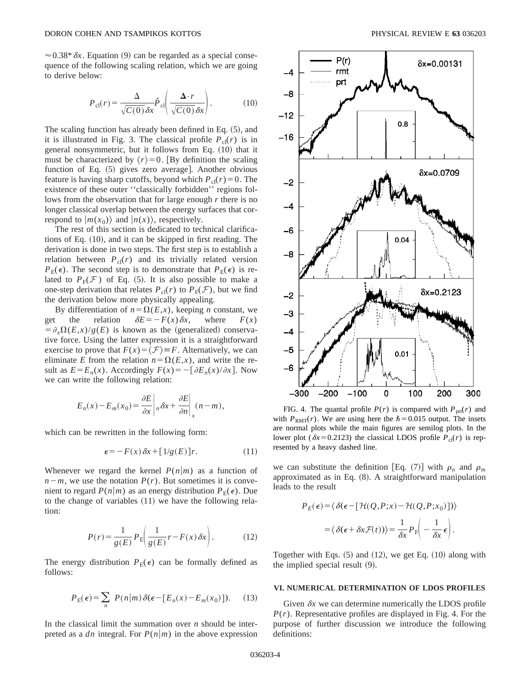$\approx 0.38 * \delta x$ . Equation (9) can be regarded as a special consequence of the following scaling relation, which we are going to derive below:

$$
P_{\rm cl}(r) = \frac{\Delta}{\sqrt{C(0)}\,\delta x} \hat{P}_{\rm cl}\left(\frac{\Delta \cdot r}{\sqrt{C(0)}\,\delta x}\right). \tag{10}
$$

The scaling function has already been defined in Eq.  $(5)$ , and it is illustrated in Fig. 3. The classical profile  $P_{cl}(r)$  is in general nonsymmetric, but it follows from Eq.  $(10)$  that it must be characterized by  $\langle r \rangle = 0$ . [By definition the scaling function of Eq.  $(5)$  gives zero average. Another obvious feature is having sharp cutoffs, beyond which  $P_{cl}(r) = 0$ . The existence of these outer ''classically forbidden'' regions follows from the observation that for large enough *r* there is no longer classical overlap between the energy surfaces that correspond to  $|m(x_0)\rangle$  and  $|n(x)\rangle$ , respectively.

The rest of this section is dedicated to technical clarifications of Eq.  $(10)$ , and it can be skipped in first reading. The derivation is done in two steps. The first step is to establish a relation between  $P_{cl}(r)$  and its trivially related version  $P_{\rm E}(\epsilon)$ . The second step is to demonstrate that  $P_{\rm E}(\epsilon)$  is related to  $P_F(\mathcal{F})$  of Eq. (5). It is also possible to make a one-step derivation that relates  $P_{\text{cl}}(r)$  to  $P_{\text{F}}(\mathcal{F})$ , but we find the derivation below more physically appealing.

By differentiation of  $n = \Omega(E, x)$ , keeping *n* constant, we get the relation  $\delta E = -F(x)\delta x$ , where  $F(x)$  $= \partial_x \Omega(E, x)/g(E)$  is known as the (generalized) conservative force. Using the latter expression it is a straightforward exercise to prove that  $F(x) = \langle \mathcal{F} \rangle = F$ . Alternatively, we can eliminate *E* from the relation  $n = \Omega(E, x)$ , and write the result as  $E = E_n(x)$ . Accordingly  $F(x) = -[\partial E_n(x)/\partial x]$ . Now we can write the following relation:

$$
E_n(x) - E_m(x_0) = \frac{\partial E}{\partial x} \bigg|_n \delta x + \frac{\partial E}{\partial n} \bigg|_x (n - m),
$$

which can be rewritten in the following form:

$$
\epsilon = -F(x)\delta x + [1/g(E)]r.
$$
 (11)

Whenever we regard the kernel  $P(n|m)$  as a function of  $n-m$ , we use the notation  $P(r)$ . But sometimes it is convenient to regard  $P(n|m)$  as an energy distribution  $P_E(\epsilon)$ . Due to the change of variables  $(11)$  we have the following relation:

$$
P(r) = \frac{1}{g(E)} P_{\rm E} \bigg( \frac{1}{g(E)} r - F(x) \, \delta x \bigg). \tag{12}
$$

The energy distribution  $P_E(\epsilon)$  can be formally defined as follows:

$$
P_{\rm E}(\epsilon) = \sum_{n} P(n|m) \delta(\epsilon - [E_n(x) - E_m(x_0)]). \tag{13}
$$

In the classical limit the summation over *n* should be interpreted as a *dn* integral. For  $P(n|m)$  in the above expression



FIG. 4. The quantal profile  $P(r)$  is compared with  $P_{\text{prf}}(r)$  and with  $P_{RMT}(r)$ . We are using here the  $\hbar = 0.015$  output. The insets are normal plots while the main figures are semilog plots. In the lower plot ( $\delta x$ =0.2123) the classical LDOS profile  $P_{cl}(r)$  is represented by a heavy dashed line.

we can substitute the definition [Eq. (7)] with  $\rho_n$  and  $\rho_m$ approximated as in Eq.  $(8)$ . A straightforward manipulation leads to the result

$$
P_E(\epsilon) = \langle \delta(\epsilon - [\mathcal{H}(Q, P; x) - \mathcal{H}(Q, P; x_0)] ) \rangle
$$

$$
= \langle \delta(\epsilon + \delta x \mathcal{F}(t)) \rangle = \frac{1}{\delta x} P_F \left( -\frac{1}{\delta x} \epsilon \right).
$$

Together with Eqs.  $(5)$  and  $(12)$ , we get Eq.  $(10)$  along with the implied special result  $(9)$ .

## **VI. NUMERICAL DETERMINATION OF LDOS PROFILES**

Given  $\delta x$  we can determine numerically the LDOS profile  $P(r)$ . Representative profiles are displayed in Fig. 4. For the purpose of further discussion we introduce the following definitions: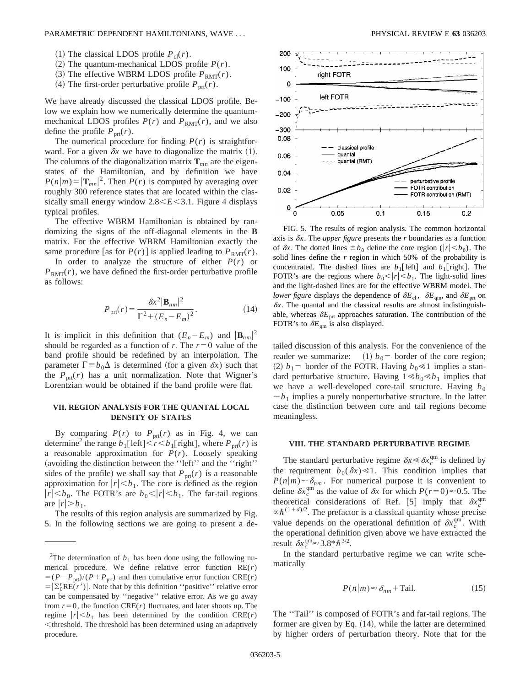### PARAMETRIC DEPENDENT HAMILTONIANS, WAVE . . . PHYSICAL REVIEW E **63** 036203

- (1) The classical LDOS profile  $P_{cl}(r)$ .
- $(2)$  The quantum-mechanical LDOS profile  $P(r)$ .
- $(3)$  The effective WBRM LDOS profile  $P_{RMT}(r)$ .
- (4) The first-order perturbative profile  $P_{\text{prt}}(r)$ .

We have already discussed the classical LDOS profile. Below we explain how we numerically determine the quantummechanical LDOS profiles  $P(r)$  and  $P_{RMT}(r)$ , and we also define the profile  $P_{\text{prt}}(r)$ .

The numerical procedure for finding  $P(r)$  is straightforward. For a given  $\delta x$  we have to diagonalize the matrix (1). The columns of the diagonalization matrix  $\mathbf{T}_{mn}$  are the eigenstates of the Hamiltonian, and by definition we have  $P(n|m) = |\mathbf{T}_{mn}|^2$ . Then  $P(r)$  is computed by averaging over roughly 300 reference states that are located within the classically small energy window  $2.8 \le E \le 3.1$ . Figure 4 displays typical profiles.

The effective WBRM Hamiltonian is obtained by randomizing the signs of the off-diagonal elements in the **B** matrix. For the effective WBRM Hamiltonian exactly the same procedure [as for  $P(r)$ ] is applied leading to  $P_{RMT}(r)$ .

In order to analyze the structure of either  $P(r)$  or  $P_{\text{RMT}}(r)$ , we have defined the first-order perturbative profile as follows:

$$
P_{\text{prt}}(r) = \frac{\delta x^2 |\mathbf{B}_{nm}|^2}{\Gamma^2 + (E_n - E_m)^2}.
$$
 (14)

It is implicit in this definition that  $(E_n - E_m)$  and  $|\mathbf{B}_{nm}|^2$ should be regarded as a function of *r*. The  $r=0$  value of the band profile should be redefined by an interpolation. The parameter  $\Gamma \equiv b_0 \Delta$  is determined (for a given  $\delta x$ ) such that the  $P_{\text{prt}}(r)$  has a unit normalization. Note that Wigner's Lorentzian would be obtained if the band profile were flat.

# **VII. REGION ANALYSIS FOR THE QUANTAL LOCAL DENSITY OF STATES**

By comparing  $P(r)$  to  $P_{\text{prt}}(r)$  as in Fig. 4, we can determine<sup>2</sup> the range  $b_1$ [left]  $\lt r \lt b_1$ [right], where  $P_{\text{ort}}(r)$  is a reasonable approximation for *P*(*r*). Loosely speaking (avoiding the distinction between the "left" and the "right" sides of the profile) we shall say that  $P_{\text{prt}}(r)$  is a reasonable approximation for  $|r| \leq b_1$ . The core is defined as the region  $|r| \leq b_0$ . The FOTR's are  $b_0 \leq |r| \leq b_1$ . The far-tail regions are  $|r| > b_1$ .

The results of this region analysis are summarized by Fig. 5. In the following sections we are going to present a de-



FIG. 5. The results of region analysis. The common horizontal axis is  $\delta x$ . The *upper figure* presents the *r* boundaries as a function of  $\delta x$ . The dotted lines  $\pm b_0$  define the core region ( $|r| \leq b_0$ ). The solid lines define the *r* region in which 50% of the probability is concentrated. The dashed lines are  $b_1$ [left] and  $b_1$ [right]. The FOTR's are the regions where  $b_0 < |r| < b_1$ . The light-solid lines and the light-dashed lines are for the effective WBRM model. The *lower figure* displays the dependence of  $\delta E_{\text{cl}}$ ,  $\delta E_{\text{qm}}$ , and  $\delta E_{\text{prt}}$  on  $\delta x$ . The quantal and the classical results are almost indistinguishable, whereas  $\delta E_{\text{prt}}$  approaches saturation. The contribution of the FOTR's to  $\delta E_{\text{cm}}$  is also displayed.

tailed discussion of this analysis. For the convenience of the reader we summarize:  $(1)$   $b_0$  = border of the core region; (2)  $b_1$  = border of the FOTR. Having  $b_0 \le 1$  implies a standard perturbative structure. Having  $1 \le b_0 \le b_1$  implies that we have a well-developed core-tail structure. Having  $b_0$  $\sim b_1$  implies a purely nonperturbative structure. In the latter case the distinction between core and tail regions become meaningless.

#### **VIII. THE STANDARD PERTURBATIVE REGIME**

The standard perturbative regime  $\delta x \leq \delta x_c^{\text{qm}}$  is defined by the requirement  $b_0(\delta x) \ll 1$ . This condition implies that  $P(n|m) \sim \delta_{nm}$ . For numerical purpose it is convenient to define  $\delta x_c^{\text{qm}}$  as the value of  $\delta x$  for which  $P(r=0) \approx 0.5$ . The theoretical considerations of Ref. [5] imply that  $\delta x_c^{\text{qm}}$  $\alpha \hbar^{(1+d)/2}$ . The prefactor is a classical quantity whose precise value depends on the operational definition of  $\delta x_c^{\text{qm}}$ . With the operational definition given above we have extracted the result  $\delta x_c^{\text{qm}} \approx 3.8 * \hbar^{3/2}$ .

In the standard perturbative regime we can write schematically

$$
P(n|m) \approx \delta_{nm} + \text{Tail.} \tag{15}
$$

The ''Tail'' is composed of FOTR's and far-tail regions. The former are given by Eq.  $(14)$ , while the latter are determined by higher orders of perturbation theory. Note that for the

<sup>&</sup>lt;sup>2</sup>The determination of  $b_1$  has been done using the following numerical procedure. We define relative error function RE(*r*)  $= (P - P_{\text{ort}})/(P + P_{\text{ort}})$  and then cumulative error function CRE(*r*)  $= |\Sigma_0^r \text{RE}(r')|$ . Note that by this definition "positive" relative error can be compensated by ''negative'' relative error. As we go away from  $r=0$ , the function CRE( $r$ ) fluctuates, and later shoots up. The regime  $|r| \leq b_1$  has been determined by the condition CRE(*r*) <threshold. The threshold has been determined using an adaptively procedure.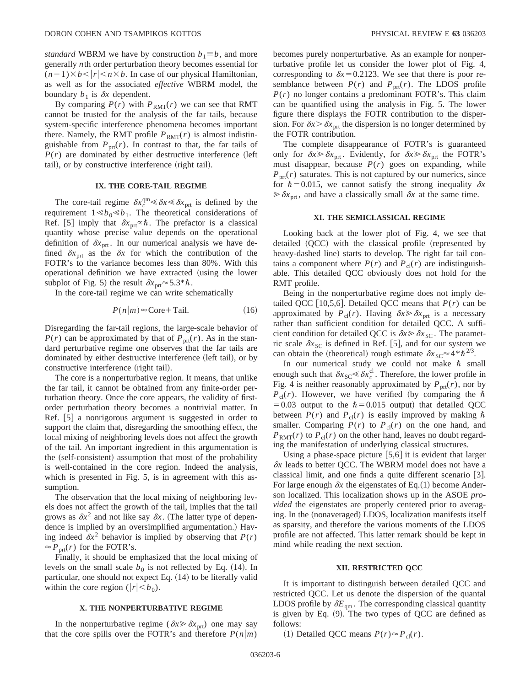*standard* WBRM we have by construction  $b_1 \equiv b$ , and more generally *n*th order perturbation theory becomes essential for  $(n-1)\times b$  / $|r|$  <  $n\times b$ . In case of our physical Hamiltonian, as well as for the associated *effective* WBRM model, the boundary  $b_1$  is  $\delta x$  dependent.

By comparing  $P(r)$  with  $P_{RMT}(r)$  we can see that RMT cannot be trusted for the analysis of the far tails, because system-specific interference phenomena becomes important there. Namely, the RMT profile  $P_{RMT}(r)$  is almost indistinguishable from  $P_{\text{prt}}(r)$ . In contrast to that, the far tails of  $P(r)$  are dominated by either destructive interference (left tail), or by constructive interference (right tail).

## **IX. THE CORE-TAIL REGIME**

The core-tail regime  $\delta x_c^{\text{qm}} \leq \delta x \leq \delta x_{\text{prt}}$  is defined by the requirement  $1 \le b_0 \le b_1$ . The theoretical considerations of Ref. [5] imply that  $\delta x_{\text{ort}} \propto \hbar$ . The prefactor is a classical quantity whose precise value depends on the operational definition of  $\delta x_{\text{ort}}$ . In our numerical analysis we have defined  $\delta x$ <sub>prt</sub> as the  $\delta x$  for which the contribution of the FOTR's to the variance becomes less than 80%. With this operational definition we have extracted (using the lower subplot of Fig. 5) the result  $\delta x_{\text{prt}} \approx 5.3 * \hbar$ .

In the core-tail regime we can write schematically

$$
P(n|m) \approx \text{Core} + \text{Tail.} \tag{16}
$$

Disregarding the far-tail regions, the large-scale behavior of  $P(r)$  can be approximated by that of  $P_{\text{prt}}(r)$ . As in the standard perturbative regime one observes that the far tails are dominated by either destructive interference (left tail), or by constructive interference (right tail).

The core is a nonperturbative region. It means, that unlike the far tail, it cannot be obtained from any finite-order perturbation theory. Once the core appears, the validity of firstorder perturbation theory becomes a nontrivial matter. In Ref.  $[5]$  a nonrigorous argument is suggested in order to support the claim that, disregarding the smoothing effect, the local mixing of neighboring levels does not affect the growth of the tail. An important ingredient in this argumentation is the (self-consistent) assumption that most of the probability is well-contained in the core region. Indeed the analysis, which is presented in Fig. 5, is in agreement with this assumption.

The observation that the local mixing of neighboring levels does not affect the growth of the tail, implies that the tail grows as  $\delta x^2$  and not like say  $\delta x$ . (The latter type of dependence is implied by an oversimplified argumentation.) Having indeed  $\delta x^2$  behavior is implied by observing that  $P(r)$  $\approx P_{\text{nrt}}(r)$  for the FOTR's.

Finally, it should be emphasized that the local mixing of levels on the small scale  $b_0$  is not reflected by Eq. (14). In particular, one should not expect Eq.  $(14)$  to be literally valid within the core region  $(|r| < b_0)$ .

### **X. THE NONPERTURBATIVE REGIME**

In the nonperturbative regime ( $\delta x \gg \delta x$ <sub>prt</sub>) one may say that the core spills over the FOTR's and therefore  $P(n|m)$  becomes purely nonperturbative. As an example for nonperturbative profile let us consider the lower plot of Fig. 4, corresponding to  $\delta x = 0.2123$ . We see that there is poor resemblance between  $P(r)$  and  $P_{\text{prt}}(r)$ . The LDOS profile *P*(*r*) no longer contains a predominant FOTR's. This claim can be quantified using the analysis in Fig. 5. The lower figure there displays the FOTR contribution to the dispersion. For  $\delta x > \delta x_{\text{opt}}$  the dispersion is no longer determined by the FOTR contribution.

The complete disappearance of FOTR's is guaranteed only for  $\delta x \gg \delta x_{\text{prt}}$ . Evidently, for  $\delta x \gg \delta x_{\text{prt}}$  the FOTR's must disappear, because  $P(r)$  goes on expanding, while  $P_{\text{prt}}(r)$  saturates. This is not captured by our numerics, since for  $\hbar$  = 0.015, we cannot satisfy the strong inequality  $\delta x$  $\gg \delta x$ <sub>prt</sub>, and have a classically small  $\delta x$  at the same time.

### **XI. THE SEMICLASSICAL REGIME**

Looking back at the lower plot of Fig. 4, we see that detailed  $(QCC)$  with the classical profile (represented by heavy-dashed line) starts to develop. The right far tail contains a component where  $P(r)$  and  $P_{cl}(r)$  are indistinguishable. This detailed QCC obviously does not hold for the RMT profile.

Being in the nonperturbative regime does not imply detailed QCC [10,5,6]. Detailed QCC means that  $P(r)$  can be approximated by  $P_{\text{cl}}(r)$ . Having  $\delta x \ge \delta x_{\text{prt}}$  is a necessary rather than sufficient condition for detailed QCC. A sufficient condition for detailed QCC is  $\delta x \gg \delta x_{SC}$ . The parametric scale  $\delta x_{SC}$  is defined in Ref. [5], and for our system we can obtain the (theoretical) rough estimate  $\delta x_{SC} \approx 4 * \hbar^{2/3}$ .

In our numerical study we could not make  $\hbar$  small enough such that  $\delta x_{SC} \le \delta x_c^{\text{cl}}$ . Therefore, the lower profile in Fig. 4 is neither reasonably approximated by  $P_{\text{prf}}(r)$ , nor by  $P_{\text{cl}}(r)$ . However, we have verified (by comparing the  $\hbar$ = 0.03 output to the  $\hbar$  = 0.015 output) that detailed QCC between  $P(r)$  and  $P_c(r)$  is easily improved by making  $\hbar$ smaller. Comparing  $P(r)$  to  $P_{cl}(r)$  on the one hand, and  $P_{RMT}(r)$  to  $P_{cl}(r)$  on the other hand, leaves no doubt regarding the manifestation of underlying classical structures.

Using a phase-space picture  $[5,6]$  it is evident that larger  $\delta x$  leads to better QCC. The WBRM model does not have a classical limit, and one finds a quite different scenario  $\lceil 3 \rceil$ . For large enough  $\delta x$  the eigenstates of Eq.(1) become Anderson localized. This localization shows up in the ASOE *provided* the eigenstates are properly centered prior to averaging. In the (nonaveraged) LDOS, localization manifests itself as sparsity, and therefore the various moments of the LDOS profile are not affected. This latter remark should be kept in mind while reading the next section.

## **XII. RESTRICTED QCC**

It is important to distinguish between detailed QCC and restricted QCC. Let us denote the dispersion of the quantal LDOS profile by  $\delta E_{qm}$ . The corresponding classical quantity is given by Eq.  $(9)$ . The two types of QCC are defined as follows:

(1) Detailed QCC means  $P(r) \approx P_{cl}(r)$ .